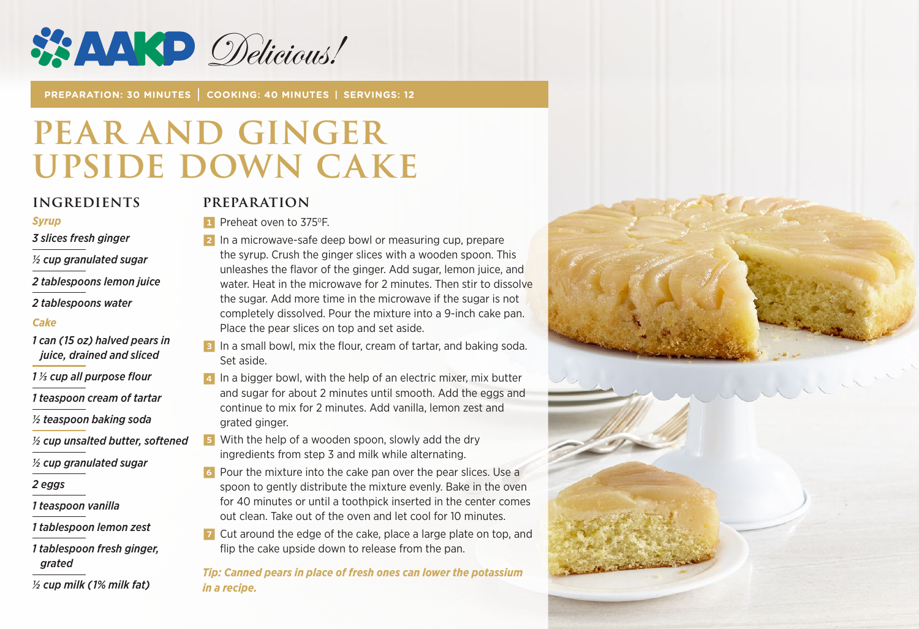

**PREPARATION: 30 MINUTES | COOKING: 40 MINUTES | SERVINGS: 12**

# **PEAR AND GINGER UPSIDE DOWN CAKE**

#### **INGREDIENTS**

#### *Syrup*

*3 slices fresh ginger*

*½ cup granulated sugar*

*2 tablespoons lemon juice*

*2 tablespoons water*

#### *Cake*

*1 can (15 oz) halved pears in juice, drained and sliced*

*1 1/3 cup all purpose flour*

*1 teaspoon cream of tartar*

*½ teaspoon baking soda*

*½ cup unsalted butter, softened*

*½ cup granulated sugar*

*2 eggs*

*1 teaspoon vanilla*

*1 tablespoon lemon zest*

*1 tablespoon fresh ginger, grated*

*½ cup milk (1% milk fat)*

### **PREPARATION**

1 Preheat oven to 375°F.

2 In a microwave-safe deep bowl or measuring cup, prepare the syrup. Crush the ginger slices with a wooden spoon. This unleashes the flavor of the ginger. Add sugar, lemon juice, and water. Heat in the microwave for 2 minutes. Then stir to dissolve the sugar. Add more time in the microwave if the sugar is not completely dissolved. Pour the mixture into a 9-inch cake pan. Place the pear slices on top and set aside.

**3** In a small bowl, mix the flour, cream of tartar, and baking soda. Set aside.

4 In a bigger bowl, with the help of an electric mixer, mix butter and sugar for about 2 minutes until smooth. Add the eggs and continue to mix for 2 minutes. Add vanilla, lemon zest and grated ginger.

5 With the help of a wooden spoon, slowly add the dry ingredients from step 3 and milk while alternating.

6 Pour the mixture into the cake pan over the pear slices. Use a spoon to gently distribute the mixture evenly. Bake in the oven for 40 minutes or until a toothpick inserted in the center comes out clean. Take out of the oven and let cool for 10 minutes.

7 Cut around the edge of the cake, place a large plate on top, and flip the cake upside down to release from the pan.

*Tip: Canned pears in place of fresh ones can lower the potassium in a recipe.*